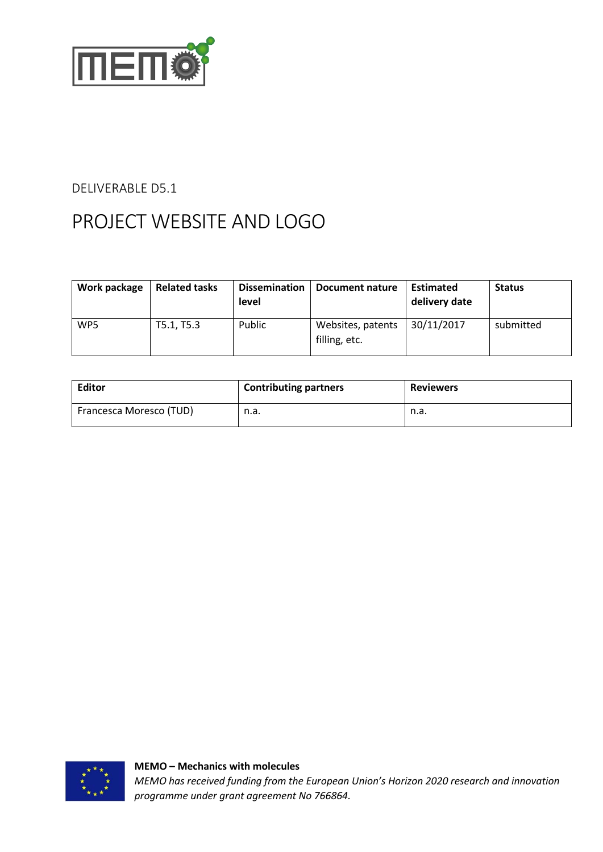

#### DELIVERABLE D5.1

# PROJECT WEBSITE AND LOGO

| Work package    | <b>Related tasks</b> | <b>Dissemination</b><br><b>level</b> | Document nature                    | <b>Estimated</b><br>delivery date | <b>Status</b> |
|-----------------|----------------------|--------------------------------------|------------------------------------|-----------------------------------|---------------|
| WP <sub>5</sub> | T5.1, T5.3           | <b>Public</b>                        | Websites, patents<br>filling, etc. | 30/11/2017                        | submitted     |

| <b>Editor</b>           | <b>Contributing partners</b> | <b>Reviewers</b> |
|-------------------------|------------------------------|------------------|
| Francesca Moresco (TUD) | n.a.                         | n.a.             |

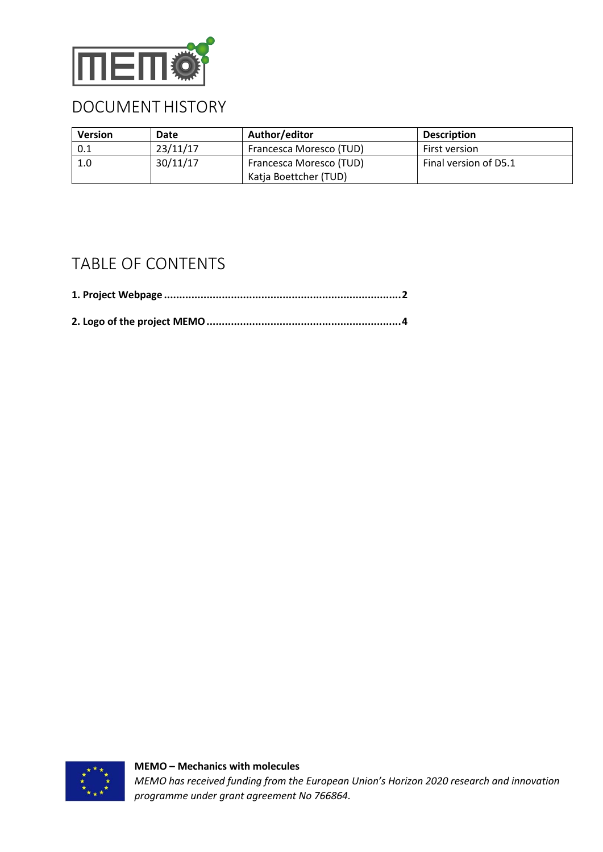

#### DOCUMENT HISTORY

| <b>Version</b> | Date     | Author/editor           | <b>Description</b>    |
|----------------|----------|-------------------------|-----------------------|
| 0.1            | 23/11/17 | Francesca Moresco (TUD) | First version         |
| 1.0            | 30/11/17 | Francesca Moresco (TUD) | Final version of D5.1 |
|                |          | Katja Boettcher (TUD)   |                       |

#### TABLE OF CONTENTS

<span id="page-1-0"></span>

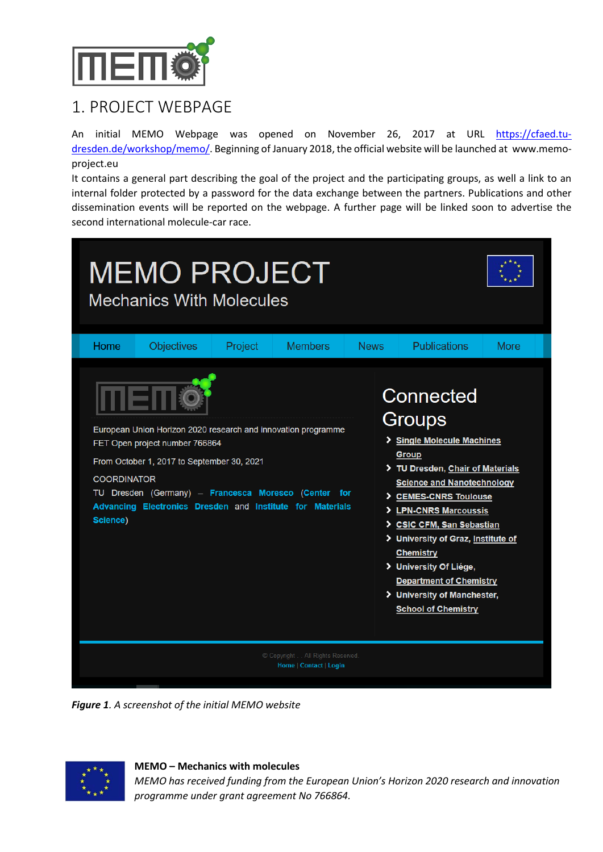

## 1. PROJECT WEBPAGE

An initial MEMO Webpage was opened on November 26, 2017 at URL [https://cfaed.tu](https://cfaed.tu-dresden.de/workshop/memo/)[dresden.de/workshop/memo/.](https://cfaed.tu-dresden.de/workshop/memo/) Beginning of January 2018, the official website will be launched at www.memoproject.eu

It contains a general part describing the goal of the project and the participating groups, as well a link to an internal folder protected by a password for the data exchange between the partners. Publications and other dissemination events will be reported on the webpage. A further page will be linked soon to advertise the second international molecule-car race.

|                                                                                               | <b>MEMO PROJECT</b><br><b>Mechanics With Molecules</b>                                                                                                                                                                                      |                |             |                                                                                                                                                                                                                                                                                                                                                                                                                            |             |
|-----------------------------------------------------------------------------------------------|---------------------------------------------------------------------------------------------------------------------------------------------------------------------------------------------------------------------------------------------|----------------|-------------|----------------------------------------------------------------------------------------------------------------------------------------------------------------------------------------------------------------------------------------------------------------------------------------------------------------------------------------------------------------------------------------------------------------------------|-------------|
| <b>Objectives</b><br>Home<br>FET Open project number 766864<br><b>COORDINATOR</b><br>Science) | Project<br>European Union Horizon 2020 research and innovation programme<br>From October 1, 2017 to September 30, 2021<br>TU Dresden (Germany) - Francesca Moresco (Center for<br>Advancing Electronics Dresden and Institute for Materials | <b>Members</b> | <b>News</b> | <b>Publications</b><br>Connected<br>Groups<br>> Single Molecule Machines<br>Group<br>TU Dresden, Chair of Materials<br><b>Science and Nanotechnology</b><br>> CEMES-CNRS Toulouse<br>> LPN-CNRS Marcoussis<br>> CSIC CFM, San Sebastian<br>> University of Graz, Institute of<br><b>Chemistry</b><br>> University Of Liége,<br><b>Department of Chemistry</b><br>> University of Manchester,<br><b>School of Chemistry</b> | <b>More</b> |
| © Copyright All Rights Reserved.<br>Home   Contact   Login                                    |                                                                                                                                                                                                                                             |                |             |                                                                                                                                                                                                                                                                                                                                                                                                                            |             |

*Figure 1. A screenshot of the initial MEMO website*



**MEMO – Mechanics with molecules**

*MEMO has received funding from the European Union's Horizon 2020 research and innovation programme under grant agreement No 766864.*